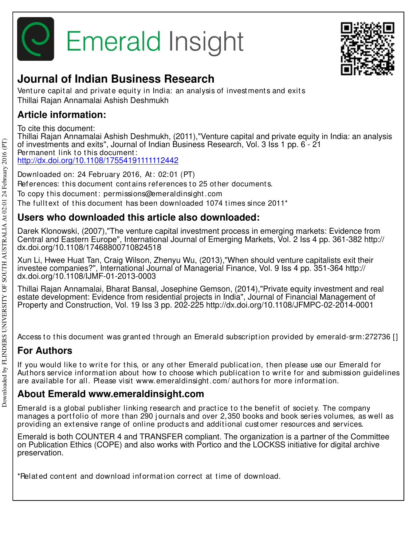



# **Journal of Indian Business Research**

Venture capital and private equity in India: an analysis of investments and exits Thillai Rajan Annamalai Ashish Deshmukh

# **Article information:**

To cite this document:

Thillai Rajan Annamalai Ashish Deshmukh, (2011),"Venture capital and private equity in India: an analysis of investments and exits", Journal of Indian Business Research, Vol. 3 Iss 1 pp. 6 - 21 Permanent link to this document: http://dx.doi.org/10.1108/17554191111112442

Downloaded on: 24 February 2016, At : 02:01 (PT)

References: this document contains references to 25 other documents.

To copy t his document : permissions@emeraldinsight .com

The fulltext of this document has been downloaded  $1074$  times since  $2011<sup>*</sup>$ 

## **Users who downloaded this article also downloaded:**

Darek Klonowski, (2007),"The venture capital investment process in emerging markets: Evidence from Central and Eastern Europe", International Journal of Emerging Markets, Vol. 2 Iss 4 pp. 361-382 http:// dx.doi.org/10.1108/17468800710824518

Xun Li, Hwee Huat Tan, Craig Wilson, Zhenyu Wu, (2013),"When should venture capitalists exit their investee companies?", International Journal of Managerial Finance, Vol. 9 Iss 4 pp. 351-364 http:// dx.doi.org/10.1108/IJMF-01-2013-0003

Thillai Rajan Annamalai, Bharat Bansal, Josephine Gemson, (2014),"Private equity investment and real estate development: Evidence from residential projects in India", Journal of Financial Management of Property and Construction, Vol. 19 Iss 3 pp. 202-225 http://dx.doi.org/10.1108/JFMPC-02-2014-0001

Access to this document was granted through an Emerald subscription provided by emerald-srm:272736 []

# **For Authors**

If you would like to write for this, or any other Emerald publication, then please use our Emerald for Authors service information about how to choose which publication to write for and submission guidelines are available for all. Please visit www.emeraldinsight .com/ aut hors for more informat ion.

# **About Emerald www.emeraldinsight.com**

Emerald is a global publisher linking research and practice to the benefit of society. The company manages a port folio of more t han 290 j ournals and over 2,350 books and book series volumes, as well as providing an extensive range of online products and additional customer resources and services.

Emerald is both COUNTER 4 and TRANSFER compliant. The organization is a partner of the Committee on Publication Ethics (COPE) and also works with Portico and the LOCKSS initiative for digital archive preservation.

\*Relat ed cont ent and download informat ion correct at t ime of download.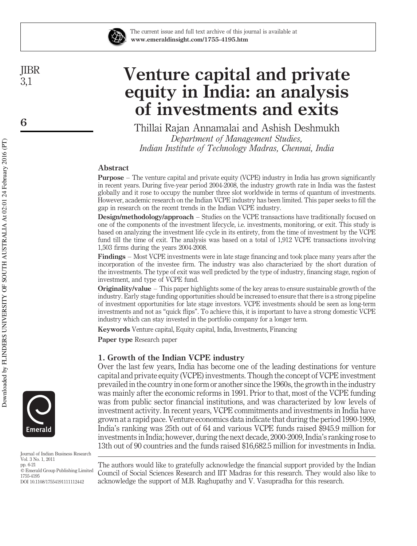

The current issue and full text archive of this journal is available at www.emeraldinsight.com/1755-4195.htm

# Venture capital and private equity in India: an analysis of investments and exits

Thillai Rajan Annamalai and Ashish Deshmukh *Department of Management Studies, Indian Institute of Technology Madras, Chennai, India*

### Abstract

Purpose – The venture capital and private equity (VCPE) industry in India has grown significantly in recent years. During five-year period 2004-2008, the industry growth rate in India was the fastest globally and it rose to occupy the number three slot worldwide in terms of quantum of investments. However, academic research on the Indian VCPE industry has been limited. This paper seeks to fill the gap in research on the recent trends in the Indian VCPE industry.

Design/methodology/approach – Studies on the VCPE transactions have traditionally focused on one of the components of the investment lifecycle, i.e. investments, monitoring, or exit. This study is based on analyzing the investment life cycle in its entirety, from the time of investment by the VCPE fund till the time of exit. The analysis was based on a total of 1,912 VCPE transactions involving 1,503 firms during the years 2004-2008.

Findings – Most VCPE investments were in late stage financing and took place many years after the incorporation of the investee firm. The industry was also characterized by the short duration of the investments. The type of exit was well predicted by the type of industry, financing stage, region of investment, and type of VCPE fund.

**Originality/value** – This paper highlights some of the key areas to ensure sustainable growth of the industry. Early stage funding opportunities should be increased to ensure that there is a strong pipeline of investment opportunities for late stage investors. VCPE investments should be seen as long-term investments and not as "quick flips". To achieve this, it is important to have a strong domestic VCPE industry which can stay invested in the portfolio company for a longer term.

Keywords Venture capital, Equity capital, India, Investments, Financing

Paper type Research paper

### 1. Growth of the Indian VCPE industry

Over the last few years, India has become one of the leading destinations for venture capital and private equity (VCPE) investments. Though the concept of VCPE investment prevailed in the country in one form or another since the 1960s, the growth in the industry was mainly after the economic reforms in 1991. Prior to that, most of the VCPE funding was from public sector financial institutions, and was characterized by low levels of investment activity. In recent years, VCPE commitments and investments in India have grown at a rapid pace. Venture economics data indicate that during the period 1990-1999, India's ranking was 25th out of 64 and various VCPE funds raised \$945.9 million for investments in India; however, during the next decade, 2000-2009, India's ranking rose to 13th out of 90 countries and the funds raised \$16,682.5 million for investments in India.

The authors would like to gratefully acknowledge the financial support provided by the Indian Council of Social Sciences Research and IIT Madras for this research. They would also like to acknowledge the support of M.B. Raghupathy and V. Vasupradha for this research.



Journal of Indian Business Research Vol. 3 No. 1, 2011 pp. 6-21  $\degree$  Emerald Group Publishing Limited 1755-4195 DOI 10.1108/17554191111112442

6

JIBR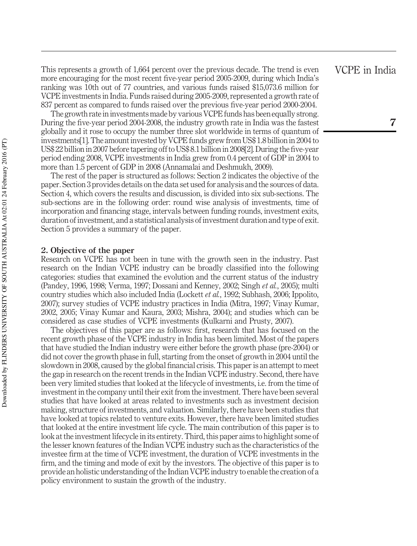This represents a growth of 1,664 percent over the previous decade. The trend is even more encouraging for the most recent five-year period 2005-2009, during which India's ranking was 10th out of 77 countries, and various funds raised \$15,073.6 million for VCPE investments in India. Funds raised during 2005-2009, represented a growth rate of 837 percent as compared to funds raised over the previous five-year period 2000-2004.

The growth rate in investments made by various VCPE funds has been equally strong. During the five-year period 2004-2008, the industry growth rate in India was the fastest globally and it rose to occupy the number three slot worldwide in terms of quantum of investments[1]. The amount invested by VCPE funds grew from US\$ 1.8 billion in 2004 to US\$ 22 billion in 2007 before tapering off to US\$ 8.1 billion in 2008[2]. During the five-year period ending 2008, VCPE investments in India grew from 0.4 percent of GDP in 2004 to more than 1.5 percent of GDP in 2008 (Annamalai and Deshmukh, 2009).

The rest of the paper is structured as follows: Section 2 indicates the objective of the paper. Section 3 provides details on the data set used for analysis and the sources of data. Section 4, which covers the results and discussion, is divided into six sub-sections. The sub-sections are in the following order: round wise analysis of investments, time of incorporation and financing stage, intervals between funding rounds, investment exits, duration of investment, and a statistical analysis of investment duration and type of exit. Section 5 provides a summary of the paper.

#### 2. Objective of the paper

Research on VCPE has not been in tune with the growth seen in the industry. Past research on the Indian VCPE industry can be broadly classified into the following categories: studies that examined the evolution and the current status of the industry (Pandey, 1996, 1998; Verma, 1997; Dossani and Kenney, 2002; Singh *et al.*, 2005); multi country studies which also included India (Lockett *et al.*, 1992; Subhash, 2006; Ippolito, 2007); survey studies of VCPE industry practices in India (Mitra, 1997; Vinay Kumar, 2002, 2005; Vinay Kumar and Kaura, 2003; Mishra, 2004); and studies which can be considered as case studies of VCPE investments (Kulkarni and Prusty, 2007).

The objectives of this paper are as follows: first, research that has focused on the recent growth phase of the VCPE industry in India has been limited. Most of the papers that have studied the Indian industry were either before the growth phase (pre-2004) or did not cover the growth phase in full, starting from the onset of growth in 2004 until the slowdown in 2008, caused by the global financial crisis. This paper is an attempt to meet the gap in research on the recent trends in the Indian VCPE industry. Second, there have been very limited studies that looked at the lifecycle of investments, i.e. from the time of investment in the company until their exit from the investment. There have been several studies that have looked at areas related to investments such as investment decision making, structure of investments, and valuation. Similarly, there have been studies that have looked at topics related to venture exits. However, there have been limited studies that looked at the entire investment life cycle. The main contribution of this paper is to look at the investment lifecycle in its entirety. Third, this paper aims to highlight some of the lesser known features of the Indian VCPE industry such as the characteristics of the investee firm at the time of VCPE investment, the duration of VCPE investments in the firm, and the timing and mode of exit by the investors. The objective of this paper is to provide an holistic understanding of the Indian VCPE industry to enable the creation of a policy environment to sustain the growth of the industry.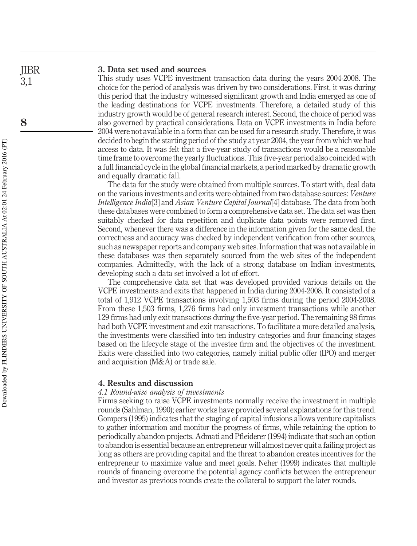#### 3. Data set used and sources

This study uses VCPE investment transaction data during the years 2004-2008. The choice for the period of analysis was driven by two considerations. First, it was during this period that the industry witnessed significant growth and India emerged as one of the leading destinations for VCPE investments. Therefore, a detailed study of this industry growth would be of general research interest. Second, the choice of period was also governed by practical considerations. Data on VCPE investments in India before 2004 were not available in a form that can be used for a research study. Therefore, it was decided to begin the starting period of the study at year 2004, the year from which we had access to data. It was felt that a five-year study of transactions would be a reasonable time frame to overcome the yearly fluctuations. This five-year period also coincided with a full financial cycle in the global financial markets, a period marked by dramatic growth and equally dramatic fall.

The data for the study were obtained from multiple sources. To start with, deal data on the various investments and exits were obtained from two database sources: *Venture Intelligence India*[3] and *Asian Venture Capital Journal*[4] database. The data from both these databases were combined to form a comprehensive data set. The data set was then suitably checked for data repetition and duplicate data points were removed first. Second, whenever there was a difference in the information given for the same deal, the correctness and accuracy was checked by independent verification from other sources, such as newspaper reports and company web sites. Information that was not available in these databases was then separately sourced from the web sites of the independent companies. Admittedly, with the lack of a strong database on Indian investments, developing such a data set involved a lot of effort.

The comprehensive data set that was developed provided various details on the VCPE investments and exits that happened in India during 2004-2008. It consisted of a total of 1,912 VCPE transactions involving 1,503 firms during the period 2004-2008. From these 1,503 firms, 1,276 firms had only investment transactions while another 129 firms had only exit transactions during the five-year period. The remaining 98 firms had both VCPE investment and exit transactions. To facilitate a more detailed analysis, the investments were classified into ten industry categories and four financing stages based on the lifecycle stage of the investee firm and the objectives of the investment. Exits were classified into two categories, namely initial public offer (IPO) and merger and acquisition (M&A) or trade sale.

#### 4. Results and discussion

#### *4.1 Round-wise analysis of investments*

Firms seeking to raise VCPE investments normally receive the investment in multiple rounds (Sahlman, 1990); earlier works have provided several explanations for this trend. Gompers (1995) indicates that the staging of capital infusions allows venture capitalists to gather information and monitor the progress of firms, while retaining the option to periodically abandon projects. Admati and Pfleiderer (1994) indicate that such an option to abandon is essential because an entrepreneur will almost never quit a failing project as long as others are providing capital and the threat to abandon creates incentives for the entrepreneur to maximize value and meet goals. Neher (1999) indicates that multiple rounds of financing overcome the potential agency conflicts between the entrepreneur and investor as previous rounds create the collateral to support the later rounds.

JIBR 3,1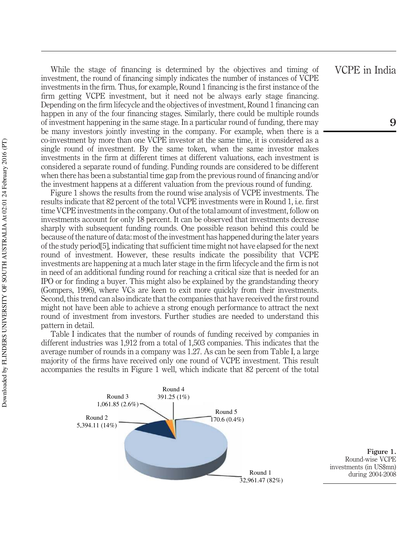While the stage of financing is determined by the objectives and timing of investment, the round of financing simply indicates the number of instances of VCPE investments in the firm. Thus, for example, Round 1 financing is the first instance of the firm getting VCPE investment, but it need not be always early stage financing. Depending on the firm lifecycle and the objectives of investment, Round 1 financing can happen in any of the four financing stages. Similarly, there could be multiple rounds of investment happening in the same stage. In a particular round of funding, there may be many investors jointly investing in the company. For example, when there is a co-investment by more than one VCPE investor at the same time, it is considered as a single round of investment. By the same token, when the same investor makes investments in the firm at different times at different valuations, each investment is considered a separate round of funding. Funding rounds are considered to be different when there has been a substantial time gap from the previous round of financing and/or the investment happens at a different valuation from the previous round of funding.

Figure 1 shows the results from the round wise analysis of VCPE investments. The results indicate that 82 percent of the total VCPE investments were in Round 1, i.e. first time VCPE investments in the company. Out of the total amount of investment, follow on investments account for only 18 percent. It can be observed that investments decrease sharply with subsequent funding rounds. One possible reason behind this could be because of the nature of data: most of the investment has happened during the later years of the study period[5], indicating that sufficient time might not have elapsed for the next round of investment. However, these results indicate the possibility that VCPE investments are happening at a much later stage in the firm lifecycle and the firm is not in need of an additional funding round for reaching a critical size that is needed for an IPO or for finding a buyer. This might also be explained by the grandstanding theory (Gompers, 1996), where VCs are keen to exit more quickly from their investments. Second, this trend can also indicate that the companies that have received the first round might not have been able to achieve a strong enough performance to attract the next round of investment from investors. Further studies are needed to understand this pattern in detail.

Table I indicates that the number of rounds of funding received by companies in different industries was 1,912 from a total of 1,503 companies. This indicates that the average number of rounds in a company was 1.27. As can be seen from Table I, a large majority of the firms have received only one round of VCPE investment. This result accompanies the results in Figure 1 well, which indicate that 82 percent of the total

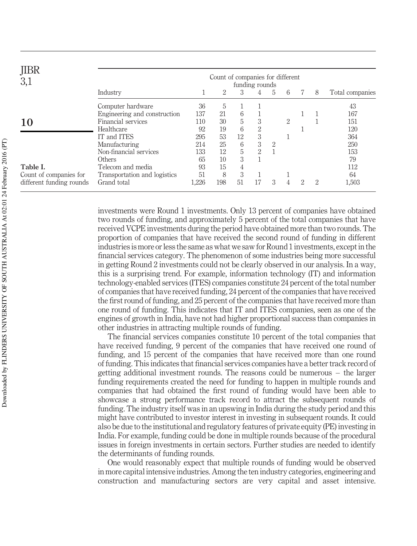| 3,1                      | Industry                     |       | Count of companies for different<br>funding rounds<br>2<br>3<br>5<br>6 |    |                |   |   | 8 | Total companies |       |
|--------------------------|------------------------------|-------|------------------------------------------------------------------------|----|----------------|---|---|---|-----------------|-------|
|                          | Computer hardware            | 36    | 5                                                                      |    |                |   |   |   |                 | 43    |
|                          | Engineering and construction | 137   | 21                                                                     | 6  |                |   |   |   |                 | 167   |
|                          | Financial services           | 110   | 30                                                                     | 5  | 3              |   | 2 |   |                 | 151   |
|                          | Healthcare                   | 92    | 19                                                                     | 6  | $\overline{2}$ |   |   |   |                 | 120   |
|                          | IT and ITES                  | 295   | 53                                                                     | 12 | 3              |   |   |   |                 | 364   |
|                          | Manufacturing                | 214   | 25                                                                     | 6  | 3              | 2 |   |   |                 | 250   |
|                          | Non-financial services       | 133   | 12.                                                                    | 5  | 2              |   |   |   |                 | 153   |
|                          | <b>Others</b>                | 65    | 10                                                                     | 3  |                |   |   |   |                 | 79    |
| Table I.                 | Telecom and media            | 93    | 15                                                                     | 4  |                |   |   |   |                 | 112   |
| Count of companies for   | Transportation and logistics | 51    | 8                                                                      | 3  |                |   |   |   |                 | 64    |
| different funding rounds | Grand total                  | 1,226 | 198                                                                    | 51 | 17             | 3 | 4 | 2 | 2               | 1,503 |

investments were Round 1 investments. Only 13 percent of companies have obtained two rounds of funding, and approximately 5 percent of the total companies that have received VCPE investments during the period have obtained more than two rounds. The proportion of companies that have received the second round of funding in different industries is more or less the same as what we saw for Round 1 investments, except in the financial services category. The phenomenon of some industries being more successful in getting Round 2 investments could not be clearly observed in our analysis. In a way, this is a surprising trend. For example, information technology (IT) and information technology-enabled services (ITES) companies constitute 24 percent of the total number of companies that have received funding, 24 percent of the companies that have received the first round of funding, and 25 percent of the companies that have received more than one round of funding. This indicates that IT and ITES companies, seen as one of the engines of growth in India, have not had higher proportional success than companies in other industries in attracting multiple rounds of funding.

The financial services companies constitute 10 percent of the total companies that have received funding, 9 percent of the companies that have received one round of funding, and 15 percent of the companies that have received more than one round of funding. This indicates that financial services companies have a better track record of getting additional investment rounds. The reasons could be numerous – the larger funding requirements created the need for funding to happen in multiple rounds and companies that had obtained the first round of funding would have been able to showcase a strong performance track record to attract the subsequent rounds of funding. The industry itself was in an upswing in India during the study period and this might have contributed to investor interest in investing in subsequent rounds. It could also be due to the institutional and regulatory features of private equity (PE) investing in India. For example, funding could be done in multiple rounds because of the procedural issues in foreign investments in certain sectors. Further studies are needed to identify the determinants of funding rounds.

One would reasonably expect that multiple rounds of funding would be observed in more capital intensive industries. Among the ten industry categories, engineering and construction and manufacturing sectors are very capital and asset intensive.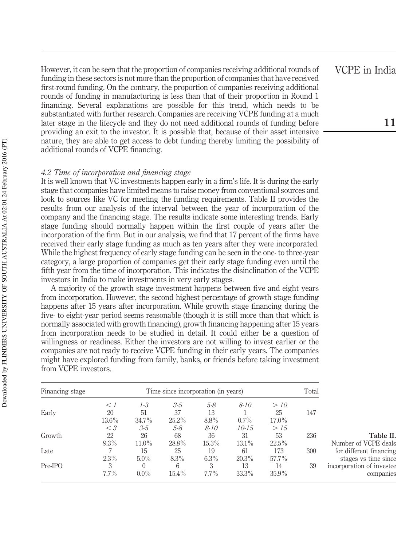However, it can be seen that the proportion of companies receiving additional rounds of funding in these sectors is not more than the proportion of companies that have received first-round funding. On the contrary, the proportion of companies receiving additional rounds of funding in manufacturing is less than that of their proportion in Round 1 financing. Several explanations are possible for this trend, which needs to be substantiated with further research. Companies are receiving VCPE funding at a much later stage in the lifecycle and they do not need additional rounds of funding before providing an exit to the investor. It is possible that, because of their asset intensive nature, they are able to get access to debt funding thereby limiting the possibility of additional rounds of VCPE financing.

#### *4.2 Time of incorporation and financing stage*

It is well known that VC investments happen early in a firm's life. It is during the early stage that companies have limited means to raise money from conventional sources and look to sources like VC for meeting the funding requirements. Table II provides the results from our analysis of the interval between the year of incorporation of the company and the financing stage. The results indicate some interesting trends. Early stage funding should normally happen within the first couple of years after the incorporation of the firm. But in our analysis, we find that 17 percent of the firms have received their early stage funding as much as ten years after they were incorporated. While the highest frequency of early stage funding can be seen in the one- to three-year category, a large proportion of companies get their early stage funding even until the fifth year from the time of incorporation. This indicates the disinclination of the VCPE investors in India to make investments in very early stages.

A majority of the growth stage investment happens between five and eight years from incorporation. However, the second highest percentage of growth stage funding happens after 15 years after incorporation. While growth stage financing during the five- to eight-year period seems reasonable (though it is still more than that which is normally associated with growth financing), growth financing happening after 15 years from incorporation needs to be studied in detail. It could either be a question of willingness or readiness. Either the investors are not willing to invest earlier or the companies are not ready to receive VCPE funding in their early years. The companies might have explored funding from family, banks, or friends before taking investment from VCPE investors.

| Financing stage |                           |                       | Time since incorporation (in years) | Total                  |                         |                       |     |                                                 |
|-----------------|---------------------------|-----------------------|-------------------------------------|------------------------|-------------------------|-----------------------|-----|-------------------------------------------------|
| Early           | $<$ 1<br>20<br>$13.6\%$   | 1-3<br>51<br>$34.7\%$ | $3-5$<br>37<br>$25.2\%$             | 5-8<br>13<br>$8.8\%$   | 8-10<br>$0.7\%$         | >10<br>25<br>$17.0\%$ | 147 |                                                 |
| Growth          | $\leq$ 3<br>22<br>$9.3\%$ | 3-5<br>26<br>$11.0\%$ | $5-8$<br>68<br>28.8%                | 8-10<br>36<br>$15.3\%$ | 10-15<br>31<br>$13.1\%$ | >15<br>53<br>$22.5\%$ | 236 | Table II.<br>Number of VCPE deals               |
| Late            | $2.3\%$                   | 15<br>$5.0\%$         | 25<br>$8.3\%$                       | 19<br>$6.3\%$          | 61<br>$20.3\%$          | 173<br>57.7%          | 300 | for different financing<br>stages vs time since |
| Pre-IPO         | 3<br>$7.7\%$              | $0.0\%$               | 6<br>$15.4\%$                       | 3<br>$7.7\%$           | 13<br>$33.3\%$          | 14<br>$35.9\%$        | 39  | incorporation of investee<br>companies          |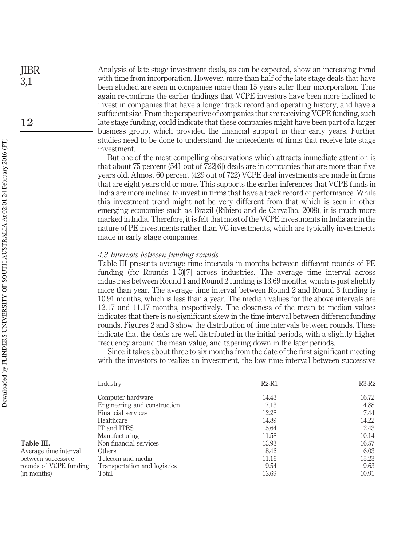Analysis of late stage investment deals, as can be expected, show an increasing trend with time from incorporation. However, more than half of the late stage deals that have been studied are seen in companies more than 15 years after their incorporation. This again re-confirms the earlier findings that VCPE investors have been more inclined to invest in companies that have a longer track record and operating history, and have a sufficient size. From the perspective of companies that are receiving VCPE funding, such late stage funding, could indicate that these companies might have been part of a larger business group, which provided the financial support in their early years. Further studies need to be done to understand the antecedents of firms that receive late stage investment.

But one of the most compelling observations which attracts immediate attention is that about 75 percent (541 out of 722[6]) deals are in companies that are more than five years old. Almost 60 percent (429 out of 722) VCPE deal investments are made in firms that are eight years old or more. This supports the earlier inferences that VCPE funds in India are more inclined to invest in firms that have a track record of performance. While this investment trend might not be very different from that which is seen in other emerging economies such as Brazil (Ribiero and de Carvalho, 2008), it is much more marked in India. Therefore, it is felt that most of the VCPE investments in India are in the nature of PE investments rather than VC investments, which are typically investments made in early stage companies.

#### *4.3 Intervals between funding rounds*

Table III presents average time intervals in months between different rounds of PE funding (for Rounds 1-3)[7] across industries. The average time interval across industries between Round 1 and Round 2 funding is 13.69 months, which is just slightly more than year. The average time interval between Round 2 and Round 3 funding is 10.91 months, which is less than a year. The median values for the above intervals are 12.17 and 11.17 months, respectively. The closeness of the mean to median values indicates that there is no significant skew in the time interval between different funding rounds. Figures 2 and 3 show the distribution of time intervals between rounds. These indicate that the deals are well distributed in the initial periods, with a slightly higher frequency around the mean value, and tapering down in the later periods.

Since it takes about three to six months from the date of the first significant meeting with the investors to realize an investment, the low time interval between successive

| Industry                     | $R2-R1$ | $R3-R2$ |
|------------------------------|---------|---------|
| Computer hardware            | 14.43   | 16.72   |
| Engineering and construction | 17.13   | 4.88    |
| Financial services           | 12.28   | 7.44    |
| Healthcare                   | 14.89   | 14.22   |
| IT and ITES                  | 15.64   | 12.43   |
| Manufacturing                | 11.58   | 10.14   |
| Non-financial services       | 13.93   | 16.57   |
| Others                       | 8.46    | 6.03    |
| Telecom and media            | 11.16   | 15.23   |
| Transportation and logistics | 9.54    | 9.63    |
| Total                        | 13.69   | 10.91   |

Table III.

Average time interval between successive rounds of VCPE funding (in months)

JIBR 3,1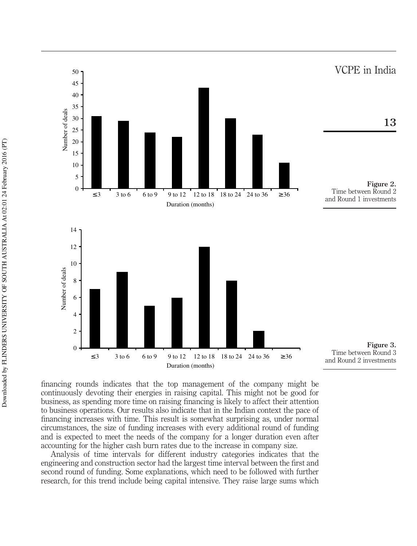

financing rounds indicates that the top management of the company might be continuously devoting their energies in raising capital. This might not be good for business, as spending more time on raising financing is likely to affect their attention to business operations. Our results also indicate that in the Indian context the pace of financing increases with time. This result is somewhat surprising as, under normal circumstances, the size of funding increases with every additional round of funding and is expected to meet the needs of the company for a longer duration even after accounting for the higher cash burn rates due to the increase in company size.

Analysis of time intervals for different industry categories indicates that the engineering and construction sector had the largest time interval between the first and second round of funding. Some explanations, which need to be followed with further research, for this trend include being capital intensive. They raise large sums which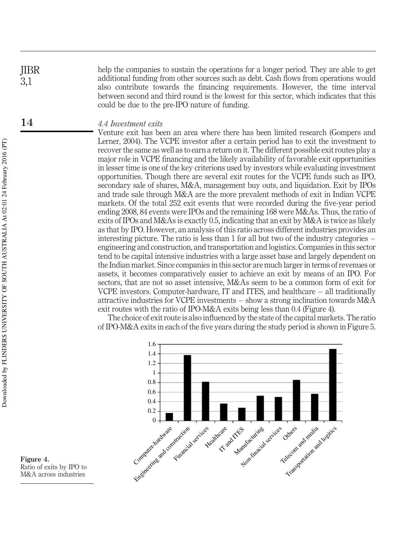help the companies to sustain the operations for a longer period. They are able to get additional funding from other sources such as debt. Cash flows from operations would also contribute towards the financing requirements. However, the time interval between second and third round is the lowest for this sector, which indicates that this could be due to the pre-IPO nature of funding.

### *4.4 Investment exits*

Venture exit has been an area where there has been limited research (Gompers and Lerner, 2004). The VCPE investor after a certain period has to exit the investment to recover the same as well as to earn a return on it. The different possible exit routes play a major role in VCPE financing and the likely availability of favorable exit opportunities in lesser time is one of the key criterions used by investors while evaluating investment opportunities. Though there are several exit routes for the VCPE funds such as IPO, secondary sale of shares, M&A, management buy outs, and liquidation. Exit by IPOs and trade sale through  $M&A$  are the more prevalent methods of exit in Indian VCPE markets. Of the total 252 exit events that were recorded during the five-year period ending 2008, 84 events were IPOs and the remaining 168 were M&As. Thus, the ratio of exits of IPOs and M&As is exactly 0.5, indicating that an exit by M&A is twice as likely as that by IPO. However, an analysis of this ratio across different industries provides an interesting picture. The ratio is less than 1 for all but two of the industry categories – engineering and construction, and transportation and logistics. Companies in this sector tend to be capital intensive industries with a large asset base and largely dependent on the Indian market. Since companies in this sector are much larger in terms of revenues or assets, it becomes comparatively easier to achieve an exit by means of an IPO. For sectors, that are not so asset intensive, M&As seem to be a common form of exit for VCPE investors. Computer-hardware, IT and ITES, and healthcare – all traditionally attractive industries for VCPE investments – show a strong inclination towards M&A exit routes with the ratio of IPO-M&A exits being less than 0.4 (Figure 4).

The choice of exit route is also influenced by the state of the capital markets. The ratio of IPO-M&A exits in each of the five years during the study period is shown in Figure 5.



Figure 4. Ratio of exits by IPO to M&A across industries

JIBR 3,1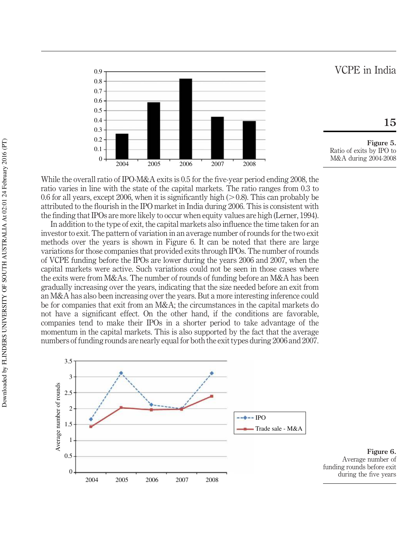

Figure 5. Ratio of exits by IPO to M&A during 2004-2008

15

While the overall ratio of IPO-M&A exits is 0.5 for the five-year period ending 2008, the ratio varies in line with the state of the capital markets. The ratio ranges from 0.3 to 0.6 for all years, except 2006, when it is significantly high  $(>0.8)$ . This can probably be attributed to the flourish in the IPO market in India during 2006. This is consistent with the finding that IPOs are more likely to occur when equity values are high (Lerner, 1994).

In addition to the type of exit, the capital markets also influence the time taken for an investor to exit. The pattern of variation in an average number of rounds for the two exit methods over the years is shown in Figure 6. It can be noted that there are large variations for those companies that provided exits through IPOs. The number of rounds of VCPE funding before the IPOs are lower during the years 2006 and 2007, when the capital markets were active. Such variations could not be seen in those cases where the exits were from M&As. The number of rounds of funding before an M&A has been gradually increasing over the years, indicating that the size needed before an exit from an M&A has also been increasing over the years. But a more interesting inference could be for companies that exit from an M&A; the circumstances in the capital markets do not have a significant effect. On the other hand, if the conditions are favorable, companies tend to make their IPOs in a shorter period to take advantage of the momentum in the capital markets. This is also supported by the fact that the average numbers of funding rounds are nearly equal for both the exit types during 2006 and 2007.



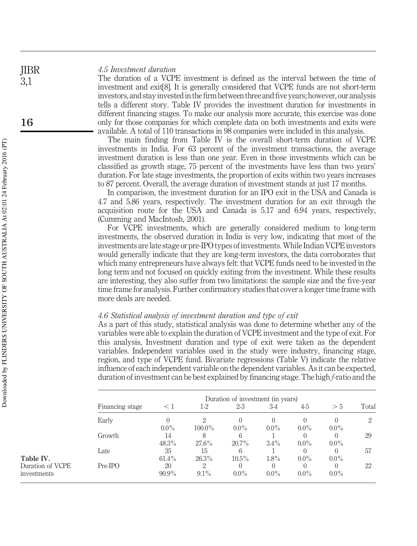*4.5 Investment duration*

The duration of a VCPE investment is defined as the interval between the time of investment and exit[8]. It is generally considered that VCPE funds are not short-term investors, and stayinvested in the firm between three and five years; however, our analysis tells a different story. Table IV provides the investment duration for investments in different financing stages. To make our analysis more accurate, this exercise was done only for those companies for which complete data on both investments and exits were available. A total of 110 transactions in 98 companies were included in this analysis.

The main finding from Table IV is the overall short-term duration of VCPE investments in India. For 63 percent of the investment transactions, the average investment duration is less than one year. Even in those investments which can be classified as growth stage, 75 percent of the investments have less than two years' duration. For late stage investments, the proportion of exits within two years increases to 87 percent. Overall, the average duration of investment stands at just 17 months.

In comparison, the investment duration for an IPO exit in the USA and Canada is 4.7 and 5.86 years, respectively. The investment duration for an exit through the acquisition route for the USA and Canada is 5.17 and 6.94 years, respectively, (Cumming and MacIntosh, 2001).

For VCPE investments, which are generally considered medium to long-term investments, the observed duration in India is very low, indicating that most of the investments are late stage or pre-IPO types of investments.While Indian VCPE investors would generally indicate that they are long-term investors, the data corroborates that which many entrepreneurs have always felt: that VCPE funds need to be invested in the long term and not focused on quickly exiting from the investment. While these results are interesting, they also suffer from two limitations: the sample size and the five-year time frame for analysis. Further confirmatory studies that cover a longer time frame with more deals are needed.

### *4.6 Statistical analysis of investment duration and type of exit*

As a part of this study, statistical analysis was done to determine whether any of the variables were able to explain the duration of VCPE investment and the type of exit. For this analysis, Investment duration and type of exit were taken as the dependent variables. Independent variables used in the study were industry, financing stage, region, and type of VCPE fund. Bivariate regressions (Table V) indicate the relative influence of each independent variable on the dependent variables. As it can be expected, duration of investment can be best explained by financing stage. The high *f*-ratio and the

|                 | Duration of investment (in years) |                |               |                             |                   |         |       |  |  |
|-----------------|-----------------------------------|----------------|---------------|-----------------------------|-------------------|---------|-------|--|--|
| Financing stage | $<$ 1                             | $1-2$          | $2-3$         | $3-4$                       | 4-5               | > 5     | Total |  |  |
| Early           | $0.0\%$                           | 2<br>$100.0\%$ | $0.0\%$       | $0.0\%$                     | $0.0\%$           | $0.0\%$ | っ     |  |  |
| Growth          | 14<br>48.3%                       | 8<br>27.6%     | 6<br>$20.7\%$ | $3.4\%$                     | $_{0}$<br>$0.0\%$ | $0.0\%$ | 29    |  |  |
| Late            | 35<br>$61.4\%$                    | 15<br>$26.3\%$ | 6<br>$10.5\%$ | $1.8\%$                     | $0.0\%$           | $0.0\%$ | 57    |  |  |
| Pre-IPO         | 20<br>$90.9\%$                    | 2<br>$9.1\%$   | $0.0\%$       | $\left( \right)$<br>$0.0\%$ | $0.0\%$           | $0.0\%$ | 22    |  |  |

Table IV. Duration of VCPE investments

JIBR 3,1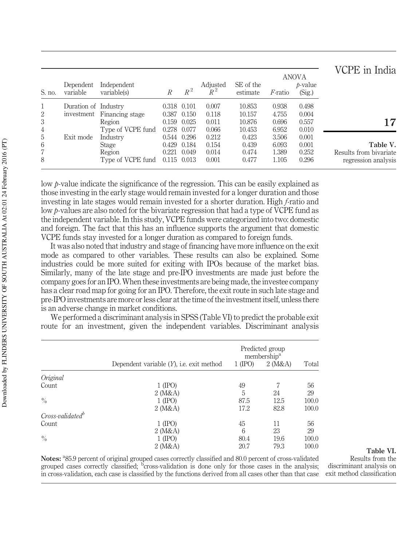| VCPE in India          | <b>ANOVA</b><br>$b-value$<br>(Sig.)<br><i>F</i> -ratio |       | SE of the<br>estimate | Adjusted<br>$R^{\,2}$ | $R^2$ | R     | Independent<br>variable(s) | Dependent<br>variable | S. no. |
|------------------------|--------------------------------------------------------|-------|-----------------------|-----------------------|-------|-------|----------------------------|-----------------------|--------|
|                        | 0.498                                                  | 0.938 | 10.853                | 0.007                 | 0.101 | 0.318 |                            | Duration of Industry  |        |
|                        | 0.004                                                  | 4.755 | 10.157                | 0.118                 | 0.150 | 0.387 | Financing stage            | investment            | 2      |
| 17                     | 0.557                                                  | 0.696 | 10.876                | 0.011                 | 0.025 | 0.159 | Region                     |                       | 3      |
|                        | 0.010                                                  | 6.952 | 10.453                | 0.066                 | 0.077 | 0.278 | Type of VCPE fund          |                       | 4      |
|                        | 0.001                                                  | 3.506 | 0.423                 | 0.212                 | 0.296 | 0.544 | Industry                   | Exit mode             | 5      |
| Table V.               | 0.001                                                  | 6.093 | 0.439                 | 0.154                 | 0.184 | 0.429 | <b>Stage</b>               |                       | 6      |
| Results from bivariate | 0.252                                                  | 1.389 | 0.474                 | 0.014                 | 0.049 | 0.221 | Region                     |                       |        |
| regression analysis    | 0.296                                                  | 1.105 | 0.477                 | 0.001                 | 0.013 | 0.115 | Type of VCPE fund          |                       | 8      |

low *p*-value indicate the significance of the regression. This can be easily explained as those investing in the early stage would remain invested for a longer duration and those investing in late stages would remain invested for a shorter duration. High *f*-ratio and low *p*-values are also noted for the bivariate regression that had a type of VCPE fund as the independent variable. In this study, VCPE funds were categorized into two: domestic and foreign. The fact that this has an influence supports the argument that domestic VCPE funds stay invested for a longer duration as compared to foreign funds.

It was also noted that industry and stage of financing have more influence on the exit mode as compared to other variables. These results can also be explained. Some industries could be more suited for exiting with IPOs because of the market bias. Similarly, many of the late stage and pre-IPO investments are made just before the company goes for an IPO. When these investments are being made, the investee company has a clear road map for going for an IPO. Therefore, the exit route in such late stage and pre-IPO investments are more or less clear at the time of the investment itself, unless there is an adverse change in market conditions.

We performed a discriminant analysis in SPSS (Table VI) to predict the probable exit route for an investment, given the independent variables. Discriminant analysis

|                    |                                             | Predicted group<br>membership <sup>a</sup> |        |       |
|--------------------|---------------------------------------------|--------------------------------------------|--------|-------|
|                    | Dependent variable $(Y)$ , i.e. exit method | $1$ (IPO)                                  | 2(M&A) | Total |
| Original           |                                             |                                            |        |       |
| Count              | 1 (IPO)                                     | 49                                         |        | 56    |
|                    | 2(M&A)                                      | 5                                          | 24     | 29    |
| $\frac{0}{0}$      | 1 (IPO)                                     | 87.5                                       | 12.5   | 100.0 |
|                    | 2(M&A)                                      | 17.2                                       | 82.8   | 100.0 |
| $Cross-valiated^b$ |                                             |                                            |        |       |
| Count              | $1$ (IPO)                                   | 45                                         | 11     | 56    |
|                    | 2(M&A)                                      | 6                                          | 23     | 29    |
| $\%$               | $1$ (IPO)                                   | 80.4                                       | 19.6   | 100.0 |
|                    | 2(M&A)                                      | 20.7                                       | 79.3   | 100.0 |

Notes: <sup>a</sup>85.9 percent of original grouped cases correctly classified and 80.0 percent of cross-validated grouped cases correctly classified; <sup>b</sup>cross-validation is done only for those cases in the analysis; in cross-validation, each case is classified by the functions derived from all cases other than that case Table VI.

Results from the discriminant analysis on exit method classification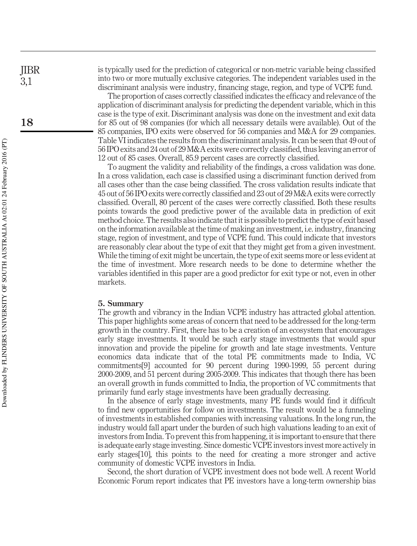is typically used for the prediction of categorical or non-metric variable being classified into two or more mutually exclusive categories. The independent variables used in the discriminant analysis were industry, financing stage, region, and type of VCPE fund.

The proportion of cases correctly classified indicates the efficacy and relevance of the application of discriminant analysis for predicting the dependent variable, which in this case is the type of exit. Discriminant analysis was done on the investment and exit data for 85 out of 98 companies (for which all necessary details were available). Out of the 85 companies, IPO exits were observed for 56 companies and M&A for 29 companies. Table VI indicates the results from the discriminant analysis. It can be seen that 49 out of 56 IPO exits and 24 out of 29 M&A exits were correctly classified, thus leaving an error of 12 out of 85 cases. Overall, 85.9 percent cases are correctly classified.

To augment the validity and reliability of the findings, a cross validation was done. In a cross validation, each case is classified using a discriminant function derived from all cases other than the case being classified. The cross validation results indicate that 45 out of 56 IPO exits were correctly classified and 23 out of 29 M&A exits were correctly classified. Overall, 80 percent of the cases were correctly classified. Both these results points towards the good predictive power of the available data in prediction of exit method choice. The results also indicate that it is possible to predict the type of exit based on the information available at the time of making an investment, i.e. industry, financing stage, region of investment, and type of VCPE fund. This could indicate that investors are reasonably clear about the type of exit that they might get from a given investment. While the timing of exit might be uncertain, the type of exit seems more or less evident at the time of investment. More research needs to be done to determine whether the variables identified in this paper are a good predictor for exit type or not, even in other markets.

#### 5. Summary

The growth and vibrancy in the Indian VCPE industry has attracted global attention. This paper highlights some areas of concern that need to be addressed for the long-term growth in the country. First, there has to be a creation of an ecosystem that encourages early stage investments. It would be such early stage investments that would spur innovation and provide the pipeline for growth and late stage investments. Venture economics data indicate that of the total PE commitments made to India, VC commitments[9] accounted for 90 percent during 1990-1999, 55 percent during 2000-2009, and 51 percent during 2005-2009. This indicates that though there has been an overall growth in funds committed to India, the proportion of VC commitments that primarily fund early stage investments have been gradually decreasing.

In the absence of early stage investments, many PE funds would find it difficult to find new opportunities for follow on investments. The result would be a funneling of investments in established companies with increasing valuations. In the long run, the industry would fall apart under the burden of such high valuations leading to an exit of investors from India. To prevent this from happening, it is important to ensure that there is adequate early stage investing. Since domestic VCPE investors invest more actively in early stages[10], this points to the need for creating a more stronger and active community of domestic VCPE investors in India.

Second, the short duration of VCPE investment does not bode well. A recent World Economic Forum report indicates that PE investors have a long-term ownership bias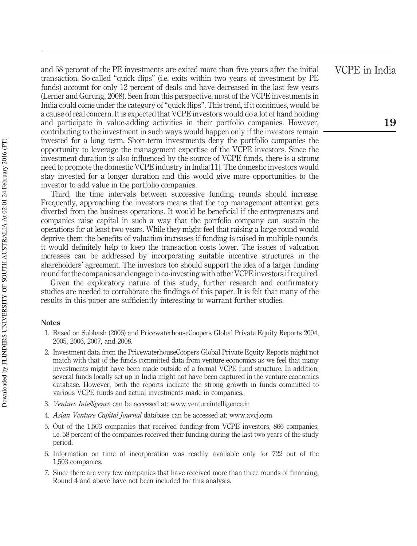and 58 percent of the PE investments are exited more than five years after the initial transaction. So-called "quick flips" (i.e. exits within two years of investment by PE funds) account for only 12 percent of deals and have decreased in the last few years (Lerner and Gurung, 2008). Seen from this perspective, most of the VCPE investments in India could come under the category of "quick flips". This trend, if it continues, would be a cause of real concern. It is expected that VCPE investors would do a lot of hand holding and participate in value-adding activities in their portfolio companies. However, contributing to the investment in such ways would happen only if the investors remain invested for a long term. Short-term investments deny the portfolio companies the opportunity to leverage the management expertise of the VCPE investors. Since the investment duration is also influenced by the source of VCPE funds, there is a strong need to promote the domestic VCPE industry in India[11]. The domestic investors would stay invested for a longer duration and this would give more opportunities to the investor to add value in the portfolio companies.

Third, the time intervals between successive funding rounds should increase. Frequently, approaching the investors means that the top management attention gets diverted from the business operations. It would be beneficial if the entrepreneurs and companies raise capital in such a way that the portfolio company can sustain the operations for at least two years. While they might feel that raising a large round would deprive them the benefits of valuation increases if funding is raised in multiple rounds, it would definitely help to keep the transaction costs lower. The issues of valuation increases can be addressed by incorporating suitable incentive structures in the shareholders' agreement. The investors too should support the idea of a larger funding round for the companies and engage in co-investing with other VCPE investors if required.

Given the exploratory nature of this study, further research and confirmatory studies are needed to corroborate the findings of this paper. It is felt that many of the results in this paper are sufficiently interesting to warrant further studies.

#### Notes

- 1. Based on Subhash (2006) and PricewaterhouseCoopers Global Private Equity Reports 2004, 2005, 2006, 2007, and 2008.
- 2. Investment data from the PricewaterhouseCoopers Global Private Equity Reports might not match with that of the funds committed data from venture economics as we feel that many investments might have been made outside of a formal VCPE fund structure. In addition, several funds locally set up in India might not have been captured in the venture economics database. However, both the reports indicate the strong growth in funds committed to various VCPE funds and actual investments made in companies.
- 3. *Venture Intelligence* can be accessed at: www.ventureintelligence.in
- 4. *Asian Venture Capital Journal* database can be accessed at: www.avcj.com
- 5. Out of the 1,503 companies that received funding from VCPE investors, 866 companies, i.e. 58 percent of the companies received their funding during the last two years of the study period.
- 6. Information on time of incorporation was readily available only for 722 out of the 1,503 companies.
- 7. Since there are very few companies that have received more than three rounds of financing, Round 4 and above have not been included for this analysis.

VCPE in India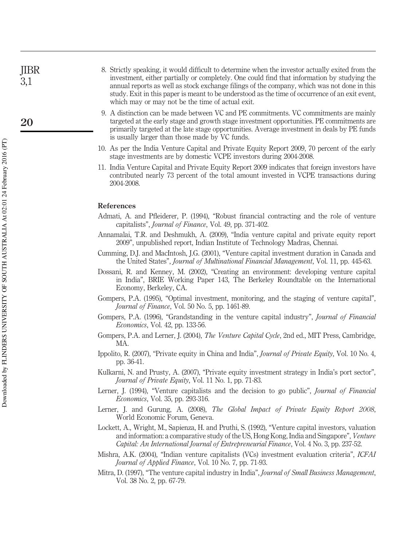20

- 8. Strictly speaking, it would difficult to determine when the investor actually exited from the investment, either partially or completely. One could find that information by studying the annual reports as well as stock exchange filings of the company, which was not done in this study. Exit in this paper is meant to be understood as the time of occurrence of an exit event, which may or may not be the time of actual exit.
- 9. A distinction can be made between VC and PE commitments. VC commitments are mainly targeted at the early stage and growth stage investment opportunities. PE commitments are primarily targeted at the late stage opportunities. Average investment in deals by PE funds is usually larger than those made by VC funds.
- 10. As per the India Venture Capital and Private Equity Report 2009, 70 percent of the early stage investments are by domestic VCPE investors during 2004-2008.
- 11. India Venture Capital and Private Equity Report 2009 indicates that foreign investors have contributed nearly 73 percent of the total amount invested in VCPE transactions during 2004-2008.

#### References

- Admati, A. and Pfleiderer, P. (1994), "Robust financial contracting and the role of venture capitalists", *Journal of Finance*, Vol. 49, pp. 371-402.
- Annamalai, T.R. and Deshmukh, A. (2009), "India venture capital and private equity report 2009", unpublished report, Indian Institute of Technology Madras, Chennai.
- Cumming, D.J. and MacIntosh, J.G. (2001), "Venture capital investment duration in Canada and the United States", *Journal of Multinational Financial Management*, Vol. 11, pp. 445-63.
- Dossani, R. and Kenney, M. (2002), "Creating an environment: developing venture capital in India", BRIE Working Paper 143, The Berkeley Roundtable on the International Economy, Berkeley, CA.
- Gompers, P.A. (1995), "Optimal investment, monitoring, and the staging of venture capital", *Journal of Finance*, Vol. 50 No. 5, pp. 1461-89.
- Gompers, P.A. (1996), "Grandstanding in the venture capital industry", *Journal of Financial Economics*, Vol. 42, pp. 133-56.
- Gompers, P.A. and Lerner, J. (2004), *The Venture Capital Cycle*, 2nd ed., MIT Press, Cambridge, MA.
- Ippolito, R. (2007), "Private equity in China and India", *Journal of Private Equity*, Vol. 10 No. 4, pp. 36-41.
- Kulkarni, N. and Prusty, A. (2007), "Private equity investment strategy in India's port sector", *Journal of Private Equity*, Vol. 11 No. 1, pp. 71-83.
- Lerner, J. (1994), "Venture capitalists and the decision to go public", *Journal of Financial Economics*, Vol. 35, pp. 293-316.
- Lerner, J. and Gurung, A. (2008), *The Global Impact of Private Equity Report 2008*, World Economic Forum, Geneva.
- Lockett, A., Wright, M., Sapienza, H. and Pruthi, S. (1992), "Venture capital investors, valuation and information: a comparative study of the US, Hong Kong, India and Singapore", *Venture Capital: An International Journal of Entrepreneurial Finance*, Vol. 4 No. 3, pp. 237-52.
- Mishra, A.K. (2004), "Indian venture capitalists (VCs) investment evaluation criteria", *ICFAI Journal of Applied Finance*, Vol. 10 No. 7, pp. 71-93.
- Mitra, D. (1997), "The venture capital industry in India", *Journal of Small Business Management*, Vol. 38 No. 2, pp. 67-79.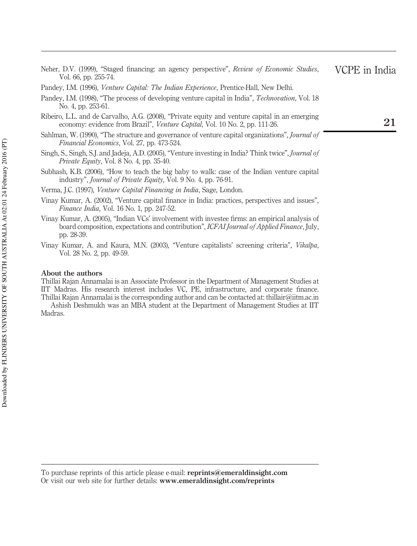Neher, D.V. (1999), "Staged financing: an agency perspective", *Review of Economic Studies*, Vol. 66, pp. 255-74. VCPE in India

Pandey, I.M. (1996), *Venture Capital: The Indian Experience*, Prentice-Hall, New Delhi.

Pandey, I.M. (1998), "The process of developing venture capital in India", *Technovation*, Vol. 18 No. 4, pp. 253-61.

- Ribeiro, L.L. and de Carvalho, A.G. (2008), "Private equity and venture capital in an emerging economy: evidence from Brazil", *Venture Capital*, Vol. 10 No. 2, pp. 111-26.
- Sahlman, W. (1990), "The structure and governance of venture capital organizations", *Journal of Financial Economics*, Vol. 27, pp. 473-524.
- Singh, S., Singh, S.J. and Jadeja, A.D. (2005), "Venture investing in India? Think twice", *Journal of Private Equity*, Vol. 8 No. 4, pp. 35-40.
- Subhash, K.B. (2006), "How to teach the big baby to walk: case of the Indian venture capital industry", *Journal of Private Equity*, Vol. 9 No. 4, pp. 76-91.
- Verma, J.C. (1997), *Venture Capital Financing in India*, Sage, London.
- Vinay Kumar, A. (2002), "Venture capital finance in India: practices, perspectives and issues", *Finance India*, Vol. 16 No. 1, pp. 247-52.
- Vinay Kumar, A. (2005), "Indian VCs' involvement with investee firms: an empirical analysis of board composition, expectations and contribution", *ICFAI Journal of Applied Finance*, July, pp. 28-39.
- Vinay Kumar, A. and Kaura, M.N. (2003), "Venture capitalists' screening criteria", *Vikalpa*, Vol. 28 No. 2, pp. 49-59.

#### About the authors

Thillai Rajan Annamalai is an Associate Professor in the Department of Management Studies at IIT Madras. His research interest includes VC, PE, infrastructure, and corporate finance. Thillai Rajan Annamalai is the corresponding author and can be contacted at: thillair@iitm.ac.in

Ashish Deshmukh was an MBA student at the Department of Management Studies at IIT Madras.

Or visit our web site for further details: www.emeraldinsight.com/reprints